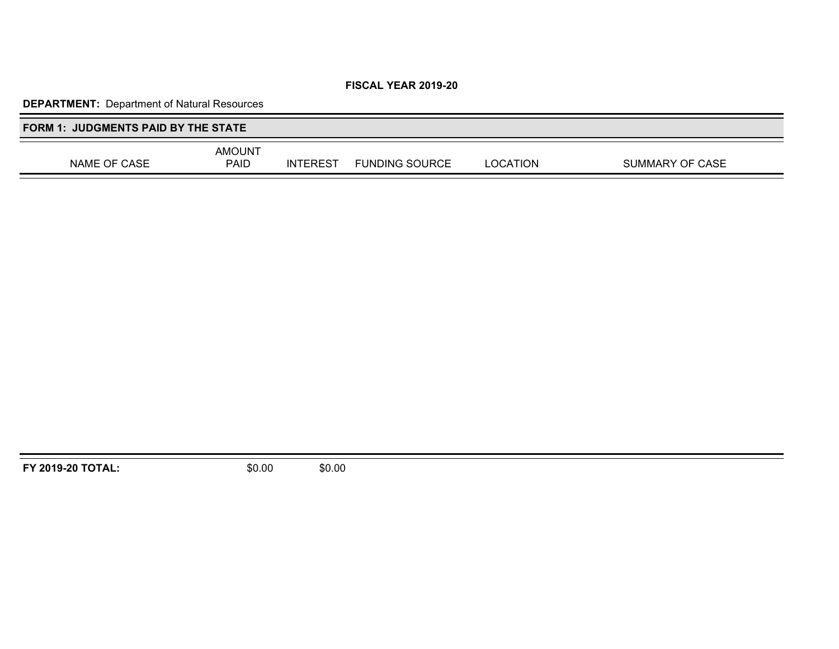# **DEPARTMENT:** Department of Natural Resources

| <b>FORM 1: JUDGMENTS PAID BY THE STATE</b> |                       |                 |                       |          |                 |
|--------------------------------------------|-----------------------|-----------------|-----------------------|----------|-----------------|
| NAME OF CASE                               | <b>AMOUNT</b><br>PAID | <b>INTEREST</b> | <b>FUNDING SOURCE</b> | _OCATION | SUMMARY OF CASE |

**FY 2019-20 TOTAL:** \$0.00 \$0.00

Ξ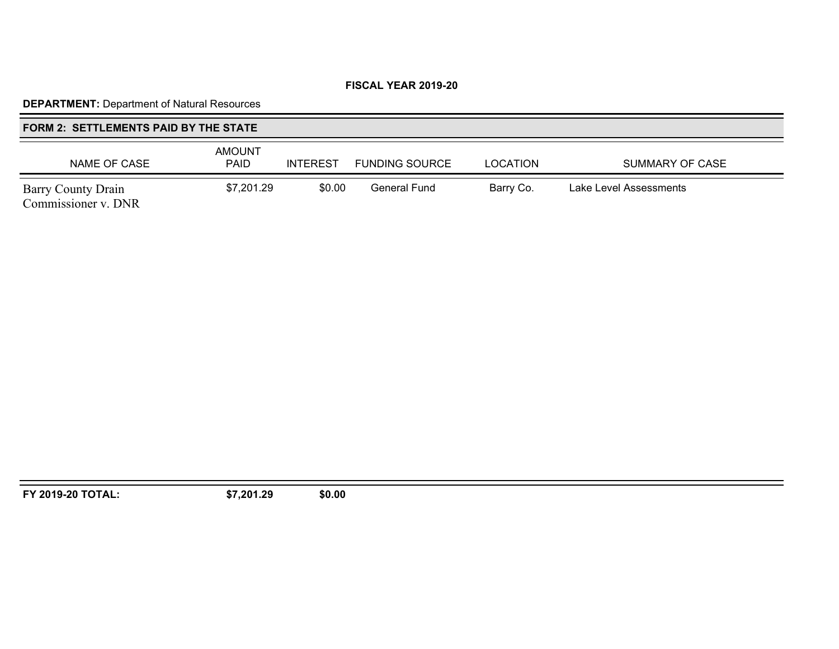# **DEPARTMENT:** Department of Natural Resources

# **FORM 2: SETTLEMENTS PAID BY THE STATE**

| NAME OF CASE                              | <b>AMOUNT</b><br><b>PAID</b> | <b>INTEREST</b> | <b>FUNDING SOURCE</b> | <b>LOCATION</b> | SUMMARY OF CASE        |
|-------------------------------------------|------------------------------|-----------------|-----------------------|-----------------|------------------------|
| Barry County Drain<br>Commissioner v. DNR | \$7,201.29                   | \$0.00          | General Fund          | Barry Co.       | Lake Level Assessments |

**FY 2019-20 TOTAL: \$7,201.29 \$0.00**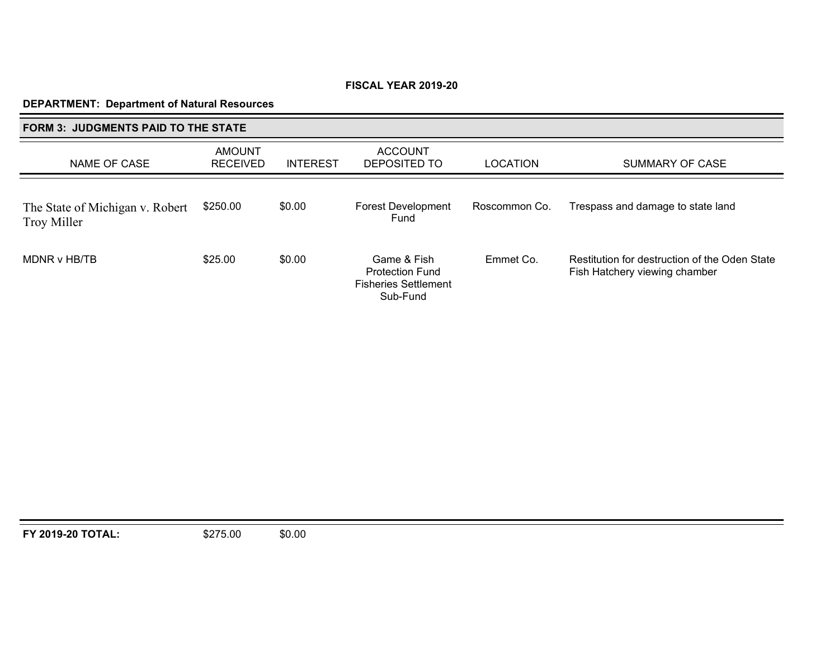## **DEPARTMENT: Department of Natural Resources**

| <b>FORM 3: JUDGMENTS PAID TO THE STATE</b>     |                                  |                 |                                                                                  |                 |                                                                                |  |
|------------------------------------------------|----------------------------------|-----------------|----------------------------------------------------------------------------------|-----------------|--------------------------------------------------------------------------------|--|
| NAME OF CASE                                   | <b>AMOUNT</b><br><b>RECEIVED</b> | <b>INTEREST</b> | <b>ACCOUNT</b><br>DEPOSITED TO                                                   | <b>LOCATION</b> | SUMMARY OF CASE                                                                |  |
| The State of Michigan v. Robert<br>Troy Miller | \$250.00                         | \$0.00          | <b>Forest Development</b><br>Fund                                                | Roscommon Co.   | Trespass and damage to state land                                              |  |
| MDNR v HB/TB                                   | \$25.00                          | \$0.00          | Game & Fish<br><b>Protection Fund</b><br><b>Fisheries Settlement</b><br>Sub-Fund | Emmet Co.       | Restitution for destruction of the Oden State<br>Fish Hatchery viewing chamber |  |

**FY 2019-20 TOTAL:** \$275.00 \$0.00